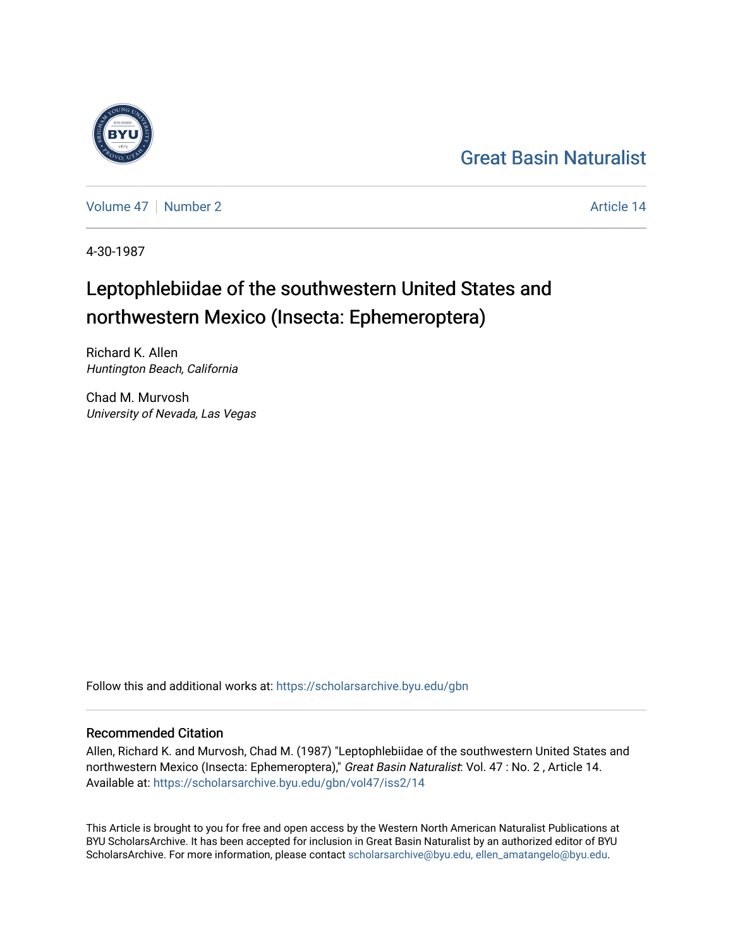## [Great Basin Naturalist](https://scholarsarchive.byu.edu/gbn)

[Volume 47](https://scholarsarchive.byu.edu/gbn/vol47) | [Number 2](https://scholarsarchive.byu.edu/gbn/vol47/iss2) Article 14

4-30-1987

# Leptophlebiidae of the southwestern United States and northwestern Mexico (Insecta: Ephemeroptera)

Richard K. Allen Huntington Beach, California

Chad M. Murvosh University of Nevada, Las Vegas

Follow this and additional works at: [https://scholarsarchive.byu.edu/gbn](https://scholarsarchive.byu.edu/gbn?utm_source=scholarsarchive.byu.edu%2Fgbn%2Fvol47%2Fiss2%2F14&utm_medium=PDF&utm_campaign=PDFCoverPages) 

## Recommended Citation

Allen, Richard K. and Murvosh, Chad M. (1987) "Leptophlebiidae of the southwestern United States and northwestern Mexico (Insecta: Ephemeroptera)," Great Basin Naturalist: Vol. 47 : No. 2, Article 14. Available at: [https://scholarsarchive.byu.edu/gbn/vol47/iss2/14](https://scholarsarchive.byu.edu/gbn/vol47/iss2/14?utm_source=scholarsarchive.byu.edu%2Fgbn%2Fvol47%2Fiss2%2F14&utm_medium=PDF&utm_campaign=PDFCoverPages) 

This Article is brought to you for free and open access by the Western North American Naturalist Publications at BYU ScholarsArchive. It has been accepted for inclusion in Great Basin Naturalist by an authorized editor of BYU ScholarsArchive. For more information, please contact [scholarsarchive@byu.edu, ellen\\_amatangelo@byu.edu.](mailto:scholarsarchive@byu.edu,%20ellen_amatangelo@byu.edu)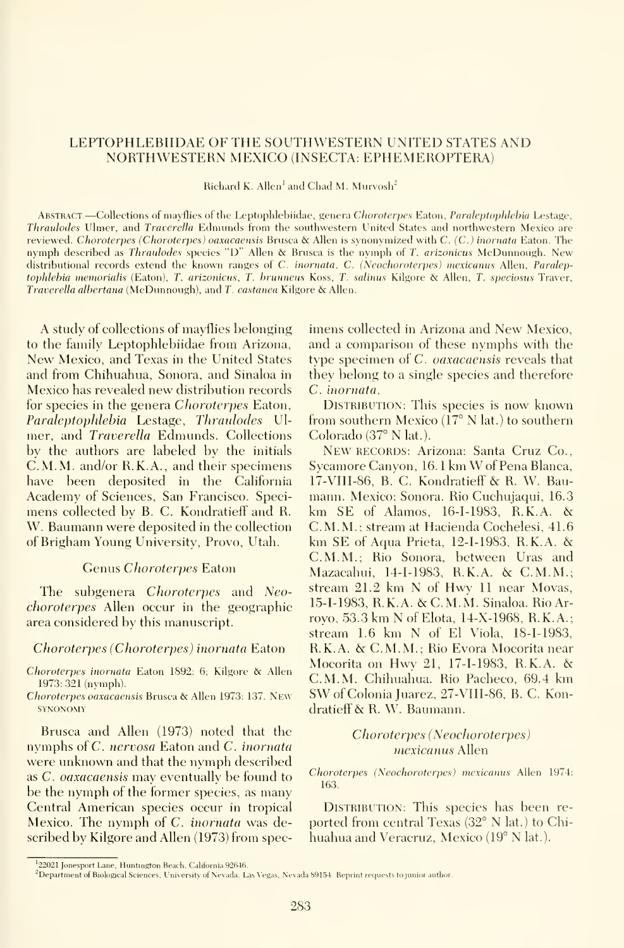#### LEPTOPHLEBIIDAE OF THE SOUTHWESTERN UNITED STATES AND NORTHWESTERN MEXICO (INSECTA: EPHEMEROPTERA)

Richard K. Allen<sup>1</sup> and Chad M. Murvosh<sup>2</sup>

Abstract —Collections of mayflies of the Leptophlebiidae, genera Choroterpes Eaton, Paralcptophlehia Lestage, Thraulodes Ulmer, and Traverella Edmunds from the southwestern United States and northwestern Mexico are reviewed. Choroterpes (Choroterpes) oaxacaensis Brusca & Allen is synonymized with C. (C.) inornata Eaton. The nymph described as Thraulodes species "D" Allen & Brusca is the nymph of T. arizonicus McDunnough. New distributional records extend the known ranges of C. inornata, C. (Neochoroterpes) mexicanus Allen, Paraleptophlebia memorialis (Eaton), T. arizonicus, T. hrunneus Koss, T. salinus Kilgore & Allen, T. speciosus Traver, Traverella alhertana (McDunnough), and T. castanea Kilgore & Allen.

A study of collections of mayflies belonging to the family Leptophlebiidae from Arizona, New Mexico, and Texas in the United States and from Chihuahua, Sonora, and Sinaloa in Mexico has revealed new distribution records for species in the genera Choroterpes Eaton, Paraleptophlebia Lestage, Thraulodes Ul mer, and Traverella Edmunds. Collections by the authors are labeled by the initials C.M.M. and/or R.K.A., and their specimens have been deposited in the California Academy of Sciences, San Francisco. Speci mens collected by B. C. Kondratieff and R. W. Baumann were deposited in the collection of Brigham Young University, Provo, Utah.

### Genus Choroterpes Eaton

The subgenera *Choroterpes* and *Neo*choroterpes Allen occur in the geographic area considered by this manuscript.

#### Choroterpes (Choroterpes) inornata Eaton

Choroterpes inornata Eaton 1892; 6; Kilgore & Allen 1973: 321 (nymph).

Choroterpes oaxacaensis Brusca & Allen 1973: 137. New **SYNONOMY** 

Brusca and Allen (1973) noted that the nymphs of C. nervosa Eaton and C. inornata were unknown and that the nymph described as C. oaxacaensis may eventually be found to be the nymph of the former species, as many Central American species occur in tropical Mexico. The nymph of C. inornata was described by Kilgore and Allen (1973) from specimens collected in Arizona and New Mexico, and a comparison of these nymphs with the type specimen of C. oaxacaensis reveals that they belong to a single species and therefore C. inornata.

DISTRIBUTION: This species is now known from southern Mexico (17° N lat.) to southern Colorado (37° N lat.).

New RECORDS: Arizona: Santa Cruz Co., Svcamore Canvon, 16. <sup>1</sup> km Wof Pena Blanca, 17-VIII-86, B.C. Kondratieff & R. W. Bau mann. Mexico: Sonora. Rio Cuchujaqui, 16.3 km SE of Alamos, 16-1-1983, R.K.A. & C.M.M.; stream at Hacienda Cochelesi, 41.6 km SE of Aqua Prieta, 12-1-1983, R.K.A. & C.M.M.; Rio Sonora, between Uras and Mazacahui, 14-1-1983, R.K.A. & C.M.M.; stream 21.2 km N of Hwy <sup>11</sup> near Movas, 15-1-1983, R.K.A. & C.M.M. Sinaloa. RioArrovo, 53.3 km N of Elota, 14-X-1968, R.K.A.; stream 1.6 km N of El Viola, 18-1-1983, R.K.A. & C.M.M.; Rio Evora Mocorita near Mocorita on Hwy 21, 17-1-1983, R.K.A. & C.M.M. Chihuahua. Rio Pacheco, 69.4 km SW of Colonia Juarez, 27-VIII-86, B. C. Kondratieff & R. W. Baumann.

> Choroterpes (Neochoroterpes) mexicanus Allen

Choroterpes (Neochoroterpes) mexicanus Allen 1974; 163.

DISTRIBUTION: This species has been reported from central Texas (32° N lat.) to Chihuahua and Veracruz, Mexico (19° N lat.).

<sup>&</sup>lt;sup>1</sup>22021 Jonesport Lane, Huntington Beach, California 92646.

<sup>&</sup>lt;sup>2</sup> Department of Biological Sciences, University of Nevada. Las Vegas, Nevada 89154. Reprint requests to junior author.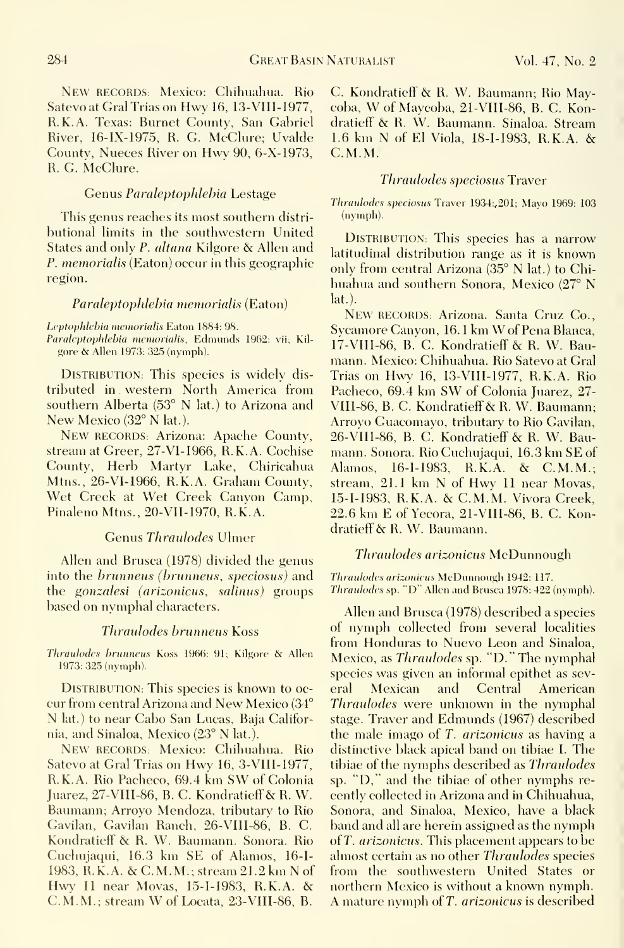New RECORDS: Mexico: Chihuahua. Rio Satevo at Gral Trias on Hwy 16, 13-VIII-1977, R.K.A. Texas: Burnet County, San Gabriel River, 16-IX-1975, R. G. MeClure; Uvalde Countv, Nueces River on Hwy 90, 6-X-1973, R. G. McClure.

#### Genus Paraleptophlebia Lestage

This genus reaches its most southern distri butional limits in the southwestern United States and only P. altana Kilgore & Allen and  $P.$  memorialis (Eaton) occur in this geographic region.

#### Paraleptophlebia memorialis (Eaton)

Leptophlebia memorialis Eaton 1884: 98.

Paraleptophlebia memorialis, Edmunds 1962: vii; Kilgore & Allen 1973: 325 (nymph).

DISTRIBUTION: This species is widely dis tributed in . western North America from southern Alberta (53° N lat.) to Arizona and New Mexico (32° N lat.).

New RECORDS: Arizona: Apache County, stream at Greer, 27-VI-1966, R.K.A. Cochise County, Herb Martvr Lake, Chiricahua Mtns., 26-VI-1966, R.K.A. Graham County, Wet Creek at Wet Creek Canyon Camp, Pinaleno Mtns., 20-VII-1970, R.K.A.

#### Genus Thraulodes Ulmer

Allen and Brusca (1978) divided the genus into the brunneus (brunneus, speciosus) and the *gonzalesi (arizonicus, salinus)* groups based on nymphal characters.

#### Thraulodes brunneus Koss

Thraulodes hrunneus Koss 1966: 91; Kilgore & Allen 1973: 325 (nymph).

DISTRIBUTION: This species is known to oc- eral cur from central Arizona and New Mexico (34° N lat.) to near Cabo San Lucas, Baja California, and Sinaloa, Mexico (23° <sup>N</sup> lat.). New RECORDS: Mexico: Chihuahua. Rio

Satevo at Gral Trias on Hwy 16, 3-VIII-1977, R.K.A. Rio Pacheco, 69.4 km SW of Colonia Juarez, 27-VIII-86, B. C. Kondratieff & R. W. Baumann; Arroyo Mendoza, tributary to Rio Gavilan, Gavilan Ranch, 26-VIII-86, B. C. Kondratieff & R. W. Baumann. Sonora. Rio Cuchujaqui, 16.3 km SE of Alamos, 16-1- 1983, R. K. A. & C.M. M. ; stream 21.2 km N of Hwy <sup>11</sup> near Movas, 15-1-1983, R.K.A. & C.M.M.; stream W of Locata, 23-VII1-86, B.

C. Kondratieff & R. W. Baumann; Rio Maycoba, W of Maycoba, 21-VIII-86, B. C. Kondratieff' & R. W. Baumann. Sinaloa. Stream 1.6 km N of El Viola, 18-1-1983, R.K.A. & C.M.M.

#### Thraulodes speciosus Traver

Thraulodes speeiosus Tnwer 1934;,201; Mayo 1969: 103 (nymph).

DISTRIBUTION: This species has a narrow latitudinal distribution range as it is known only from central Arizona (35° N lat.) to Chihuahua and southern Sonora, Mexico (27° N lat.).

New RECORDS: Arizona. Santa Cruz Co., Svcamore Canvon, 16. <sup>1</sup> km W of Pena Blanca, 17-VIII-86, B. C. Kondratieff & R. W. Baumann. Mexico: Chihuahua. Rio Satevo at Gral Trias on Hwy 16, 13-VIII-1977, R.K.A. Rio Pacheco, 69.4 km SW of Colonia Juarez, 27- VIII-86, B. C. Kondratieff & R. W. Baumann; Arrovo Guacomayo, tributary to Rio Gavilan, 26-VIII-86, B. C. Kondratieff & R. W. Baumann. Sonora. Rio Cuchujaqui, 16.3 km SE of Alamos, 16-1-1983, R.K.A. & C.M.M.; stream, 21.1 km N of Hwy <sup>11</sup> near Movas, 15-I-1983, R.K.A. & C.M.M. Vivora Creek, 22.6 km E of Yecora, 21-VIII-86, B. C. Kondratieff & R. W. Baumann.

#### Thraulodes arizonicus McDunnough

Thraidodcs arizonieus McDunnough 1942: 117. Thraulodes sp. "D" Allen and Brusca 1978: 422 (nymph).

Allen and Brusca (1978) described a species of nymph collected from several localities from Honduras to Nuevo Leon and Sinaloa, Mexico, as Thraulodes sp. "D." The nymphal species was given an informal epithet as sev-Mexican and Central American Thraulodes were unknown in the nymphal stage. Traver and Edmunds (1967) described the male imago of T. arizonicus as having a distinctive black apical band on tibiae I. The tibiae of the nymphs described as Thraulodes sp. "D," and the tibiae of other nymphs recently collected in Arizona and in Chihuahua, Sonora, and Sinaloa, Mexico, have a black band and all are herein assigned as the nymph of T. arizonicus. This placement appears to be almost certain as no other Thraulodes species from the southwestern United States or northern Mexico is without a known nymph. A mature nymph of T. *arizonicus* is described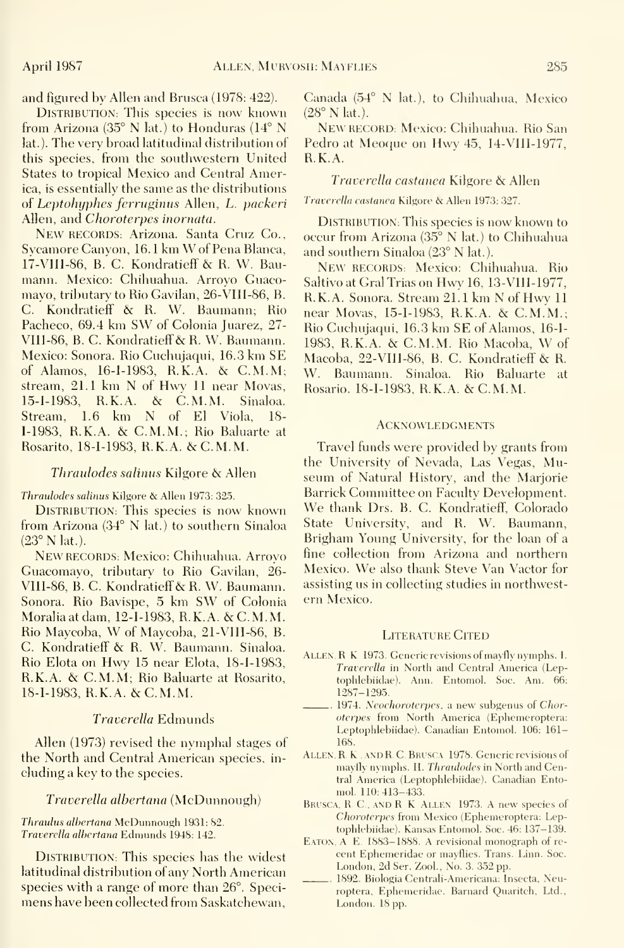and figured by Allen and Brusca (1978: 422).

DISTRIBUTION: This species is now known  $(28^{\circ} N \text{ lat.})$ . from Arizona (35° N lat.) to Honduras (14° N lat.). The very broad latitudinal distribution of this species, from the southwestern United States to tropical Mexico and Central America, is essentially the same as the distributions of Leptohyphes ferruginus Allen, L. packeri Allen, and Choroterpes inornata.

New RECORDS: Arizona. Santa Cruz Co., Sycamore Canyon, 16.1 km W of Pena Blanca, and southern Sinaloa (23° N lat.). 17-V11I-86, B.C. Kondratieff & R. W. Bau mann. Mexico: Chihuahua. Arroyo Guacomayo, tributary to Rio Gavilan, 26-V1II-86, B. C. Kondratieff & R. W. Baumann; Rio Pacheco, 69.4 km SW of Colonia Juarez, 27- VIII-86, B. C. Kondratieff & R. W. Baumann. Mexico: Sonora. Rio Cuchujaqui, 16.3 km SE of Alamos, 16-1-1983, R.K.A. & C.M.M; stream, 21.1 km N of Hwy <sup>11</sup> near Movas, 15-1-1983, R.K.A. & C.M.M. Sinaloa. Stream, 1.6 km N of El Viola, 18- 1-1983, R.K.A. & C.M.M.; Rio Baluarte at Rosarito, 18-1-1983, R.K.A. & C.M.M.

#### Thraulodes salinus Kilgore & Allen

Thraulodes salinus Kilgore & Allen 1973: 325.

DISTRIBUTION: This species is now known from Arizona (34° N lat.) to southern Sinaloa (23° N lat.).

New RECORDS: Mexico: Chihuahua. Arroyo Guacomavo, tributary to Rio Gayilan, 26- VIII-86, B. C. Kondratieff & R. W. Baumann. Sonora. Rio Bavispe, 5 km SW of Colonia Moraliaatdam, 12-1-1983, R.K.A. & C.M.M. Rio Maycoba, W of Maycoba, 21-VIII-86, B. C. Kondratieff & R.W. Baumann. Sinaloa. Rio Elota on Hwy <sup>15</sup> near Elota, 18-1-1983, R.K.A. & C.M.M; Rio Baluarte at Rosarito, 18-1-1983, R.K.A. & C.M.M.

#### Traverella Edmunds

Allen (1973) revised the nymphal stages of the North and Central American species, in cluding a key to the species.

#### Traverella alhertana (McDunnough)

Thraulus albertana McDunnough 1931: 82. Traverella alhertana Edmunds 1948; 142.

DISTRIBUTION: This species has the widest latitudinal distribution of any North American species with a range of more than 26°. Speci mens have been collected from Saskatchewan, Canada (54° N lat.), to Chihuahua, Mexico

NEW RECORD: Mexico: Chihuahua. Rio San Pedro at Meoque on Hwy 45, 14-VIII-1977, R.K.A.

#### Traverella castanea Kilgore & Allen

Traverella castanea Kilgore & Allen 1973: 327.

DISTRIBUTION: This species is now known to occur from Arizona (35° N lat.) to Chihuahua

NEW RECORDS: Mexico: Chihuahua. Rio Saltiyo at Gral Trias on Hwy 16, 13-VIII-1977, R.K.A. Sonora. Stream 21.1 km N of Hwy <sup>11</sup> near Movas, 15-1-1983, R.K.A. & C.M.M.; Rio Cuchujaqui, 16.3 km SE of Alamos, 16-1- 1983, R.K.A. & C.M.M. Rio Macoba, W of Macoba, 22-VIII-86, B. C. Kondratieff & R. W. Baumann. Sinaloa. Rio Baluarte at Rosario. 18-1-1983, R.K.A. & C.M.M.

#### **ACKNOWLEDGMENTS**

Travel funds were provided by grants from the University of Nevada, Las Vegas, Museum of Natural History, and the Marjorie Barrick Committee on Faculty Development. We thank Drs. B. C. Kondratieff, Colorado State University, and R. W. Baumann, Brigham Young University, for the loan of a fine collection from Arizona and northern Mexico. We also thank Steve Van Vactor for assisting us in collecting studies in northwestern Mexico.

#### LITERATURE CITED

- Allen, R K 1973. Generic revisions of mayfly nymphs. I. Traverella in North and Central America (Leptophlehiidae). Ann. Entomol. Soc. Am. 66; 1287-1295.
- 1974. Neochoroterpes. a new subgenus oi Choroterpes from North America (Ephemeroptera: Leptophlebiidae). Canadian Entomol. 106: 161- 168.
- ALLEN, R. K., AND R. C. BRUSCA 1978. Generic revisions of mayfly nymphs. II. Thraulodes in North and Central America (Leptophlebiidae). Canadian Entomol. 110:413-433.
- BRUSCA, R. C., AND R K ALLEN 1973. A new species of Choroterpes from Mexico (Ephemeroptera; Leptophlebiidae). Kansas Entomol. Soc. 46; 137-139.
- EATON, A E. 1883-1888. A revisional monograph of recent Ephemeridae or mayflies. Trans. Linn. Soc. London, 2d Ser. Zool., No. 3. 352 pp.
- 1892. Biologia Centrali-Americana; Insecta, Neuroptera, Ephemeridae. Barnard Quaritch, Ltd., London. 18 pp.